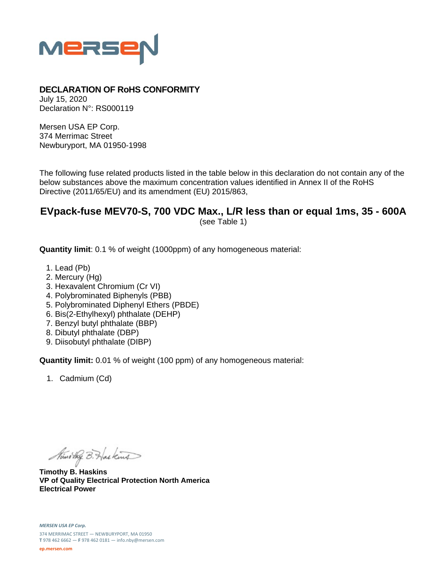

## **DECLARATION OF RoHS CONFORMITY**

July 15, 2020 Declaration N°: RS000119

Mersen USA EP Corp. 374 Merrimac Street Newburyport, MA 01950-1998

The following fuse related products listed in the table below in this declaration do not contain any of the below substances above the maximum concentration values identified in Annex II of the RoHS Directive (2011/65/EU) and its amendment (EU) 2015/863,

## **EVpack-fuse MEV70-S, 700 VDC Max., L/R less than or equal 1ms, 35 - 600A**  (see Table 1)

**Quantity limit**: 0.1 % of weight (1000ppm) of any homogeneous material:

- 1. Lead (Pb)
- 2. Mercury (Hg)
- 3. Hexavalent Chromium (Cr VI)
- 4. Polybrominated Biphenyls (PBB)
- 5. Polybrominated Diphenyl Ethers (PBDE)
- 6. Bis(2-Ethylhexyl) phthalate (DEHP)
- 7. Benzyl butyl phthalate (BBP)
- 8. Dibutyl phthalate (DBP)
- 9. Diisobutyl phthalate (DIBP)

**Quantity limit:** 0.01 % of weight (100 ppm) of any homogeneous material:

1. Cadmium (Cd)

Ministry B. Haskins

**Timothy B. Haskins VP of Quality Electrical Protection North America Electrical Power**